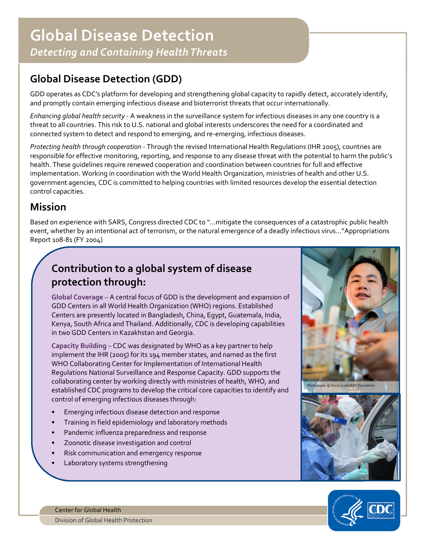## Global Disease Detection (GDD)

 GDD operates as CDC's platform for developing and strengthening global capacity to rapidly detect, accurately identify, and promptly contain emerging infectious disease and bioterrorist threats that occur internationally.

Enhancing global health security - A weakness in the surveillance system for infectious diseases in any one country is a threat to all countries. This risk to U.S. national and global interests underscores the need for a coordinated and connected system to detect and respond to emerging, and re-emerging, infectious diseases.

 Protecting health through cooperation - Through the revised International Health Regulations (IHR 2005), countries are responsible for effective monitoring, reporting, and response to any disease threat with the potential to harm the public's health. These guidelines require renewed cooperation and coordination between countries for full and effective implementation. Working in coordination with the World Health Organization, ministries of health and other U.S. government agencies, CDC is committed to helping countries with limited resources develop the essential detection control capacities.

## Mission

 Based on experience with SARS, Congress directed CDC to "…mitigate the consequences of a catastrophic public health event, whether by an intentional act of terrorism, or the natural emergence of a deadly infectious virus…"Appropriations Report 108-81 (FY 2004)

## Contribution to a global system of disease protection through:

 GDD Centers in all World Health Organization (WHO) regions. Established Centers are presently located in Bangladesh, China, Egypt, Guatemala, India, Kenya, South Africa and Thailand. Additionally, CDC is developing capabilities in two GDD Centers in Kazakhstan and Georgia. Global Coverage – A central focus of GDD is the development and expansion of

 implement the IHR (2005) for its 194 member states, and named as the first established CDC programs to develop the critical core capacities to identify and control of emerging infectious diseases through: Capacity Building – CDC was designated by WHO as a key partner to help WHO Collaborating Center for Implementation of International Health Regulations National Surveillance and Response Capacity. GDD supports the collaborating center by working directly with ministries of health, WHO, and

- Emerging infectious disease detection and response
- Training in field epidemiology and laboratory methods
- Pandemic influenza preparedness and response
- Zoonotic disease investigation and control
- Risk communication and emergency response
- Laboratory systems strengthening





 Center for Global Health Division of Global Health Protection